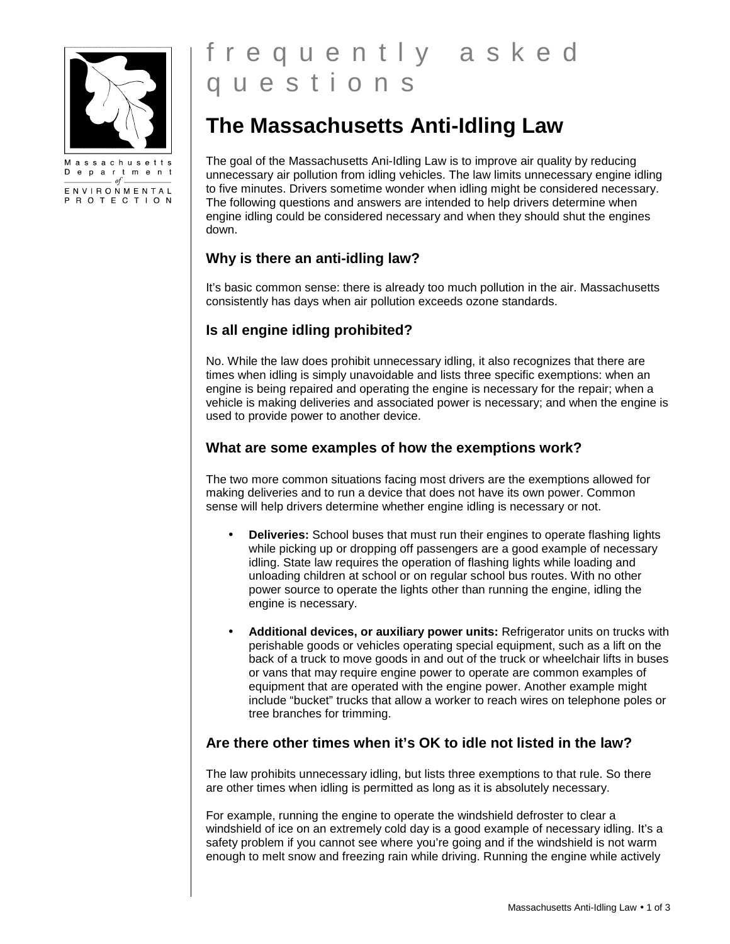

Massachusetts Department  $-$  of  $-$ ENVIRONMENTAL P R O T E C T I O N

# f r e q u e n t l y a s k e d q u e s t i o n s

# **The Massachusetts Anti-Idling Law**

The goal of the Massachusetts Ani-Idling Law is to improve air quality by reducing unnecessary air pollution from idling vehicles. The law limits unnecessary engine idling to five minutes. Drivers sometime wonder when idling might be considered necessary. The following questions and answers are intended to help drivers determine when engine idling could be considered necessary and when they should shut the engines down.

# **Why is there an anti-idling law?**

It's basic common sense: there is already too much pollution in the air. Massachusetts consistently has days when air pollution exceeds ozone standards.

# **Is all engine idling prohibited?**

No. While the law does prohibit unnecessary idling, it also recognizes that there are times when idling is simply unavoidable and lists three specific exemptions: when an engine is being repaired and operating the engine is necessary for the repair; when a vehicle is making deliveries and associated power is necessary; and when the engine is used to provide power to another device.

# **What are some examples of how the exemptions work?**

The two more common situations facing most drivers are the exemptions allowed for making deliveries and to run a device that does not have its own power. Common sense will help drivers determine whether engine idling is necessary or not.

- **Deliveries:** School buses that must run their engines to operate flashing lights while picking up or dropping off passengers are a good example of necessary idling. State law requires the operation of flashing lights while loading and unloading children at school or on regular school bus routes. With no other power source to operate the lights other than running the engine, idling the engine is necessary.
- **Additional devices, or auxiliary power units:** Refrigerator units on trucks with perishable goods or vehicles operating special equipment, such as a lift on the back of a truck to move goods in and out of the truck or wheelchair lifts in buses or vans that may require engine power to operate are common examples of equipment that are operated with the engine power. Another example might include "bucket" trucks that allow a worker to reach wires on telephone poles or tree branches for trimming.

# **Are there other times when it's OK to idle not listed in the law?**

The law prohibits unnecessary idling, but lists three exemptions to that rule. So there are other times when idling is permitted as long as it is absolutely necessary.

For example, running the engine to operate the windshield defroster to clear a windshield of ice on an extremely cold day is a good example of necessary idling. It's a safety problem if you cannot see where you're going and if the windshield is not warm enough to melt snow and freezing rain while driving. Running the engine while actively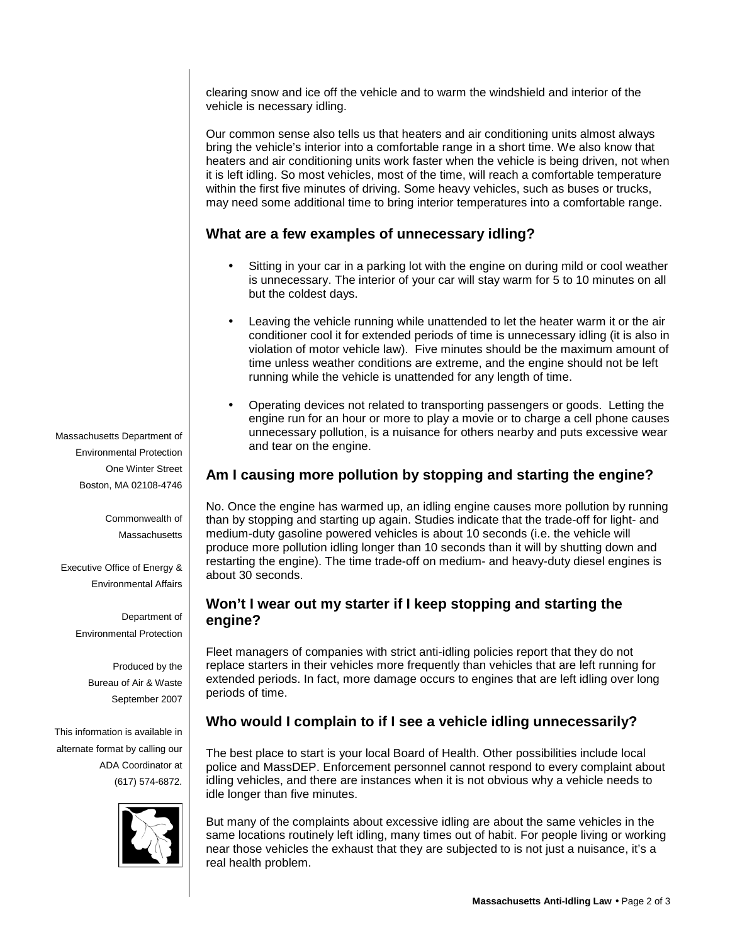clearing snow and ice off the vehicle and to warm the windshield and interior of the vehicle is necessary idling.

Our common sense also tells us that heaters and air conditioning units almost always bring the vehicle's interior into a comfortable range in a short time. We also know that heaters and air conditioning units work faster when the vehicle is being driven, not when it is left idling. So most vehicles, most of the time, will reach a comfortable temperature within the first five minutes of driving. Some heavy vehicles, such as buses or trucks, may need some additional time to bring interior temperatures into a comfortable range.

#### **What are a few examples of unnecessary idling?**

- Sitting in your car in a parking lot with the engine on during mild or cool weather is unnecessary. The interior of your car will stay warm for 5 to 10 minutes on all but the coldest days.
- Leaving the vehicle running while unattended to let the heater warm it or the air conditioner cool it for extended periods of time is unnecessary idling (it is also in violation of motor vehicle law). Five minutes should be the maximum amount of time unless weather conditions are extreme, and the engine should not be left running while the vehicle is unattended for any length of time.
- Operating devices not related to transporting passengers or goods. Letting the engine run for an hour or more to play a movie or to charge a cell phone causes unnecessary pollution, is a nuisance for others nearby and puts excessive wear and tear on the engine.

# **Am I causing more pollution by stopping and starting the engine?**

No. Once the engine has warmed up, an idling engine causes more pollution by running than by stopping and starting up again. Studies indicate that the trade-off for light- and medium-duty gasoline powered vehicles is about 10 seconds (i.e. the vehicle will produce more pollution idling longer than 10 seconds than it will by shutting down and restarting the engine). The time trade-off on medium- and heavy-duty diesel engines is about 30 seconds.

#### **Won't I wear out my starter if I keep stopping and starting the engine?**

Fleet managers of companies with strict anti-idling policies report that they do not replace starters in their vehicles more frequently than vehicles that are left running for extended periods. In fact, more damage occurs to engines that are left idling over long periods of time.

# **Who would I complain to if I see a vehicle idling unnecessarily?**

The best place to start is your local Board of Health. Other possibilities include local police and MassDEP. Enforcement personnel cannot respond to every complaint about idling vehicles, and there are instances when it is not obvious why a vehicle needs to idle longer than five minutes.

But many of the complaints about excessive idling are about the same vehicles in the same locations routinely left idling, many times out of habit. For people living or working near those vehicles the exhaust that they are subjected to is not just a nuisance, it's a real health problem.

Massachusetts Department of Environmental Protection One Winter Street Boston, MA 02108-4746

> Commonwealth of **Massachusetts**

Executive Office of Energy & Environmental Affairs

> Department of Environmental Protection

> > Produced by the Bureau of Air & Waste September 2007

This information is available in alternate format by calling our ADA Coordinator at (617) 574-6872.